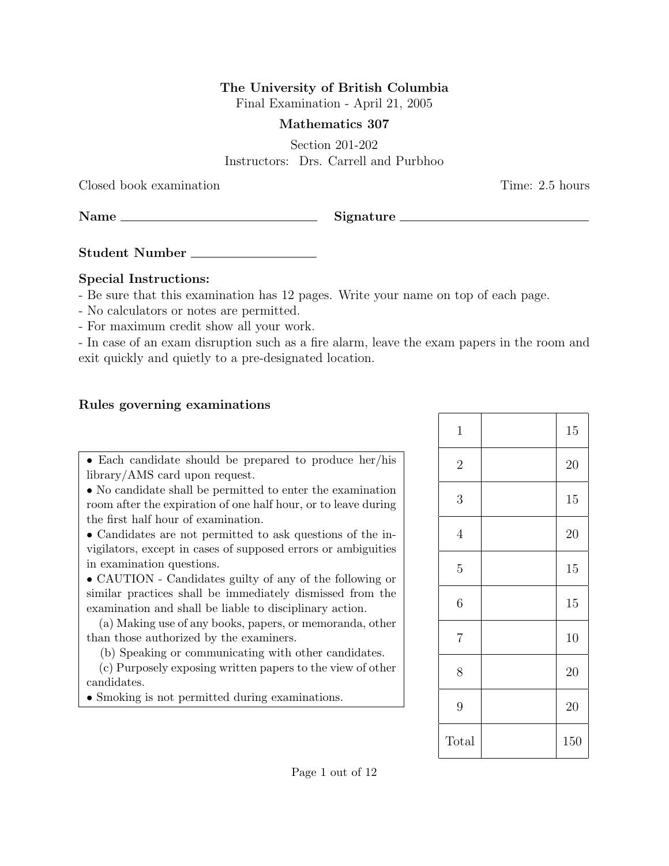## The University of British Columbia

Final Examination - April 21, 2005

## Mathematics 307

Section 201-202 Instructors: Drs. Carrell and Purbhoo

Closed book examination Time: 2.5 hours

Name Signature

Student Number

## Special Instructions:

- Be sure that this examination has 12 pages. Write your name on top of each page.
- No calculators or notes are permitted.
- For maximum credit show all your work.

- In case of an exam disruption such as a fire alarm, leave the exam papers in the room and exit quickly and quietly to a pre-designated location.

## Rules governing examinations

• Each candidate should be prepared to produce her/his library/AMS card upon request.

• No candidate shall be permitted to enter the examination room after the expiration of one half hour, or to leave during the first half hour of examination.

• Candidates are not permitted to ask questions of the invigilators, except in cases of supposed errors or ambiguities in examination questions.

• CAUTION - Candidates guilty of any of the following or similar practices shall be immediately dismissed from the examination and shall be liable to disciplinary action.

(a) Making use of any books, papers, or memoranda, other than those authorized by the examiners.

(b) Speaking or communicating with other candidates.

(c) Purposely exposing written papers to the view of other candidates.

• Smoking is not permitted during examinations.

| $\mathbf{1}$   | 15  |
|----------------|-----|
| $\overline{2}$ | 20  |
| 3              | 15  |
| $\overline{4}$ | 20  |
| $\overline{5}$ | 15  |
| $\overline{6}$ | 15  |
| $\overline{7}$ | 10  |
| 8              | 20  |
| 9              | 20  |
| Total          | 150 |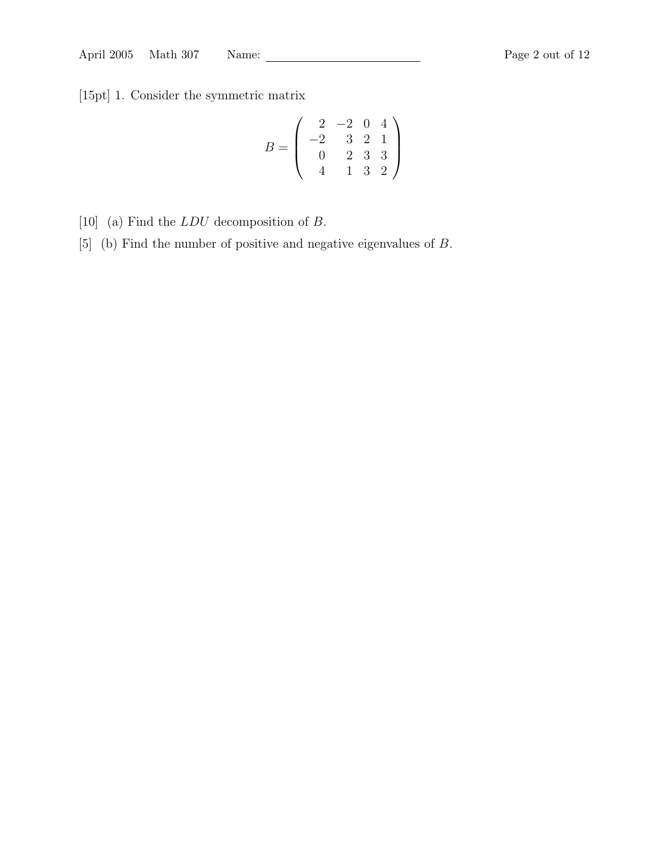[15pt] 1. Consider the symmetric matrix

$$
B = \left(\begin{array}{rrr} 2 & -2 & 0 & 4 \\ -2 & 3 & 2 & 1 \\ 0 & 2 & 3 & 3 \\ 4 & 1 & 3 & 2 \end{array}\right)
$$

- [10] (a) Find the LDU decomposition of B.
- [5] (b) Find the number of positive and negative eigenvalues of B.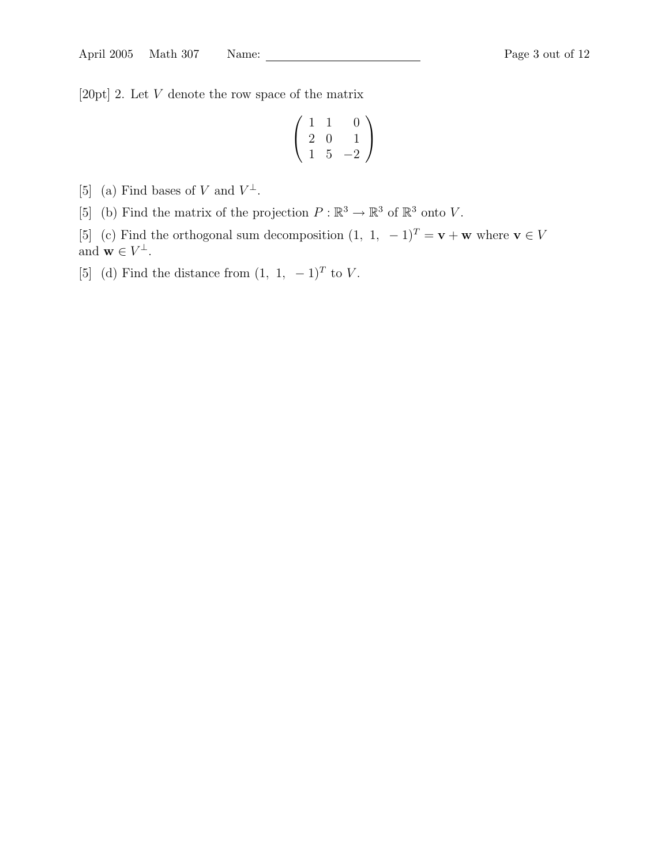[20pt] 2. Let V denote the row space of the matrix

$$
\left(\begin{array}{rrr} 1 & 1 & 0 \\ 2 & 0 & 1 \\ 1 & 5 & -2 \end{array}\right)
$$

[5] (a) Find bases of V and  $V^{\perp}$ .

[5] (b) Find the matrix of the projection  $P : \mathbb{R}^3 \to \mathbb{R}^3$  of  $\mathbb{R}^3$  onto V.

[5] (c) Find the orthogonal sum decomposition  $(1, 1, -1)^T = \mathbf{v} + \mathbf{w}$  where  $\mathbf{v} \in V$ and  $\mathbf{w} \in V^{\perp}$ .

[5] (d) Find the distance from  $(1, 1, -1)^T$  to V.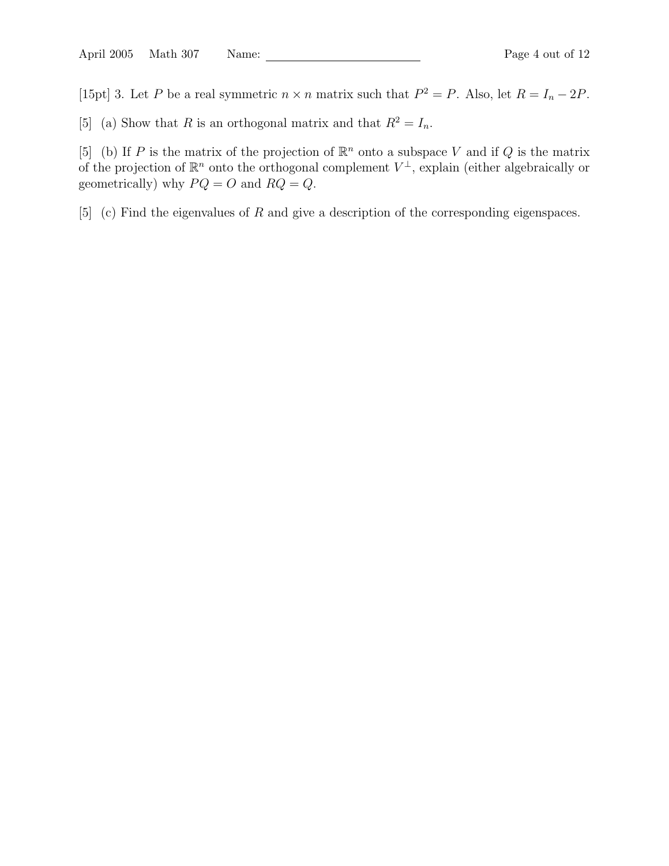[15pt] 3. Let P be a real symmetric  $n \times n$  matrix such that  $P^2 = P$ . Also, let  $R = I_n - 2P$ .

[5] (a) Show that R is an orthogonal matrix and that  $R^2 = I_n$ .

[5] (b) If P is the matrix of the projection of  $\mathbb{R}^n$  onto a subspace V and if Q is the matrix of the projection of  $\mathbb{R}^n$  onto the orthogonal complement  $V^{\perp}$ , explain (either algebraically or geometrically) why  $PQ = O$  and  $RQ = Q$ .

[5] (c) Find the eigenvalues of R and give a description of the corresponding eigenspaces.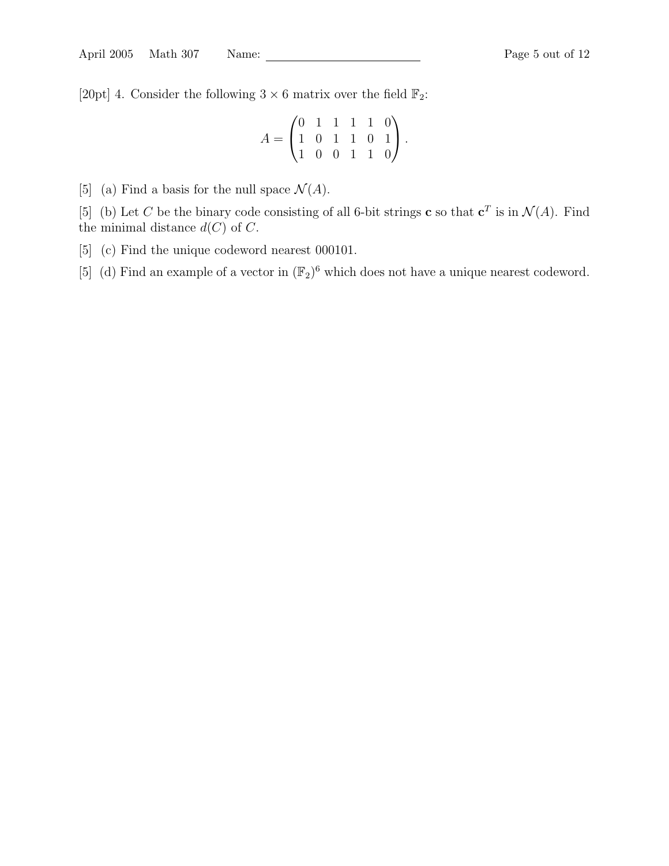[20pt] 4. Consider the following  $3 \times 6$  matrix over the field  $\mathbb{F}_2$ :

$$
A = \begin{pmatrix} 0 & 1 & 1 & 1 & 1 & 0 \\ 1 & 0 & 1 & 1 & 0 & 1 \\ 1 & 0 & 0 & 1 & 1 & 0 \end{pmatrix}.
$$

[5] (a) Find a basis for the null space  $\mathcal{N}(A)$ .

[5] (b) Let C be the binary code consisting of all 6-bit strings **c** so that  $c^T$  is in  $\mathcal{N}(A)$ . Find the minimal distance  $d(C)$  of C.

- [5] (c) Find the unique codeword nearest 000101.
- [5] (d) Find an example of a vector in  $(\mathbb{F}_2)^6$  which does not have a unique nearest codeword.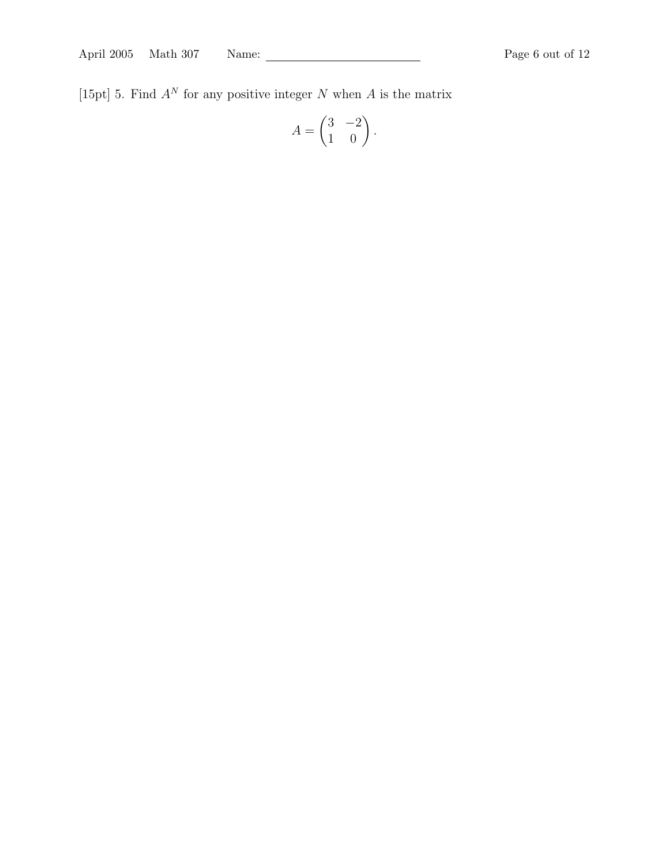[15pt] 5. Find  $A^N$  for any positive integer N when A is the matrix

$$
A = \begin{pmatrix} 3 & -2 \\ 1 & 0 \end{pmatrix}.
$$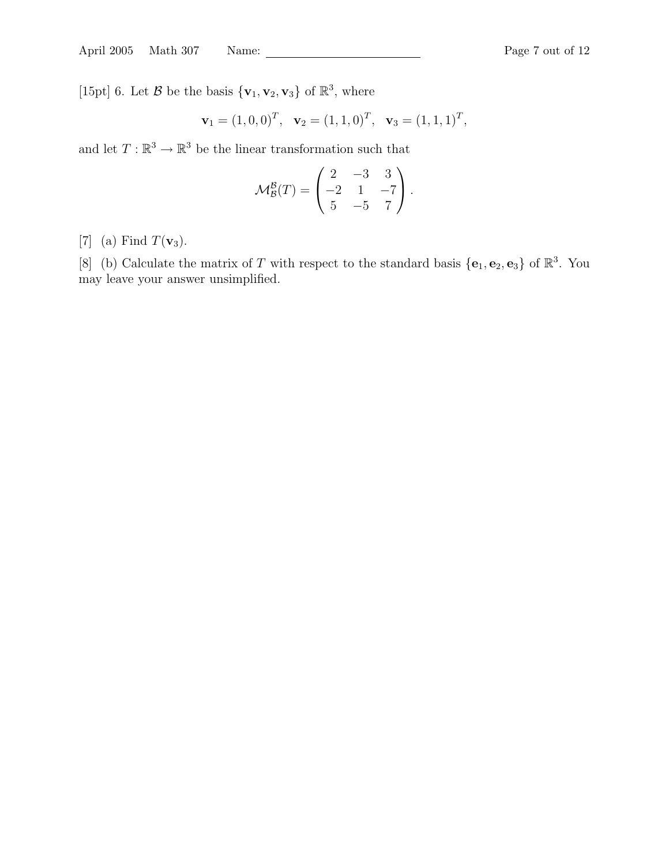[15pt] 6. Let  $\mathcal{B}$  be the basis  $\{v_1, v_2, v_3\}$  of  $\mathbb{R}^3$ , where

$$
\mathbf{v}_1 = (1, 0, 0)^T, \quad \mathbf{v}_2 = (1, 1, 0)^T, \quad \mathbf{v}_3 = (1, 1, 1)^T,
$$

and let  $T: \mathbb{R}^3 \to \mathbb{R}^3$  be the linear transformation such that

$$
\mathcal{M}_{\mathcal{B}}^{\mathcal{B}}(T) = \begin{pmatrix} 2 & -3 & 3 \\ -2 & 1 & -7 \\ 5 & -5 & 7 \end{pmatrix}.
$$

[7] (a) Find  $T(\mathbf{v}_3)$ .

[8] (b) Calculate the matrix of T with respect to the standard basis  $\{e_1, e_2, e_3\}$  of  $\mathbb{R}^3$ . You may leave your answer unsimplified.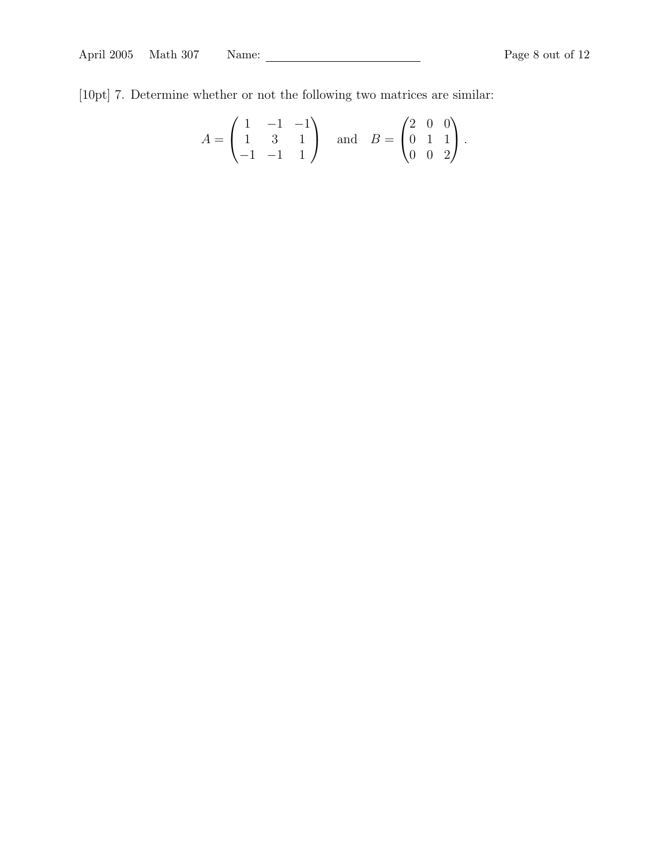[10pt] 7. Determine whether or not the following two matrices are similar:

$$
A = \begin{pmatrix} 1 & -1 & -1 \\ 1 & 3 & 1 \\ -1 & -1 & 1 \end{pmatrix} \text{ and } B = \begin{pmatrix} 2 & 0 & 0 \\ 0 & 1 & 1 \\ 0 & 0 & 2 \end{pmatrix}.
$$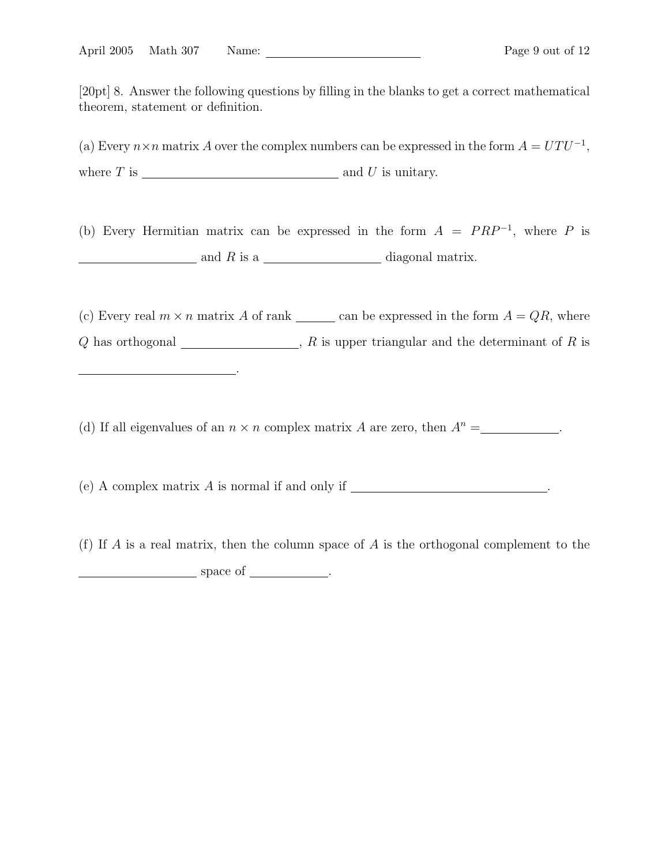[20pt] 8. Answer the following questions by filling in the blanks to get a correct mathematical theorem, statement or definition.

(a) Every  $n \times n$  matrix A over the complex numbers can be expressed in the form  $A = UTU^{-1}$ , where  $T$  is  $\qquad \qquad$  and  $U$  is unitary.

(b) Every Hermitian matrix can be expressed in the form  $A = PRP^{-1}$ , where P is  $\frac{1}{2}$  and R is a  $\frac{1}{2}$  diagonal matrix.

(c) Every real  $m \times n$  matrix A of rank can be expressed in the form  $A = QR$ , where Q has orthogonal  $\Box$ , R is upper triangular and the determinant of R is

(d) If all eigenvalues of an  $n \times n$  complex matrix A are zero, then  $A^n =$  .

.

(e) A complex matrix A is normal if and only if .

(f) If A is a real matrix, then the column space of A is the orthogonal complement to the space of <u>space of</u> ...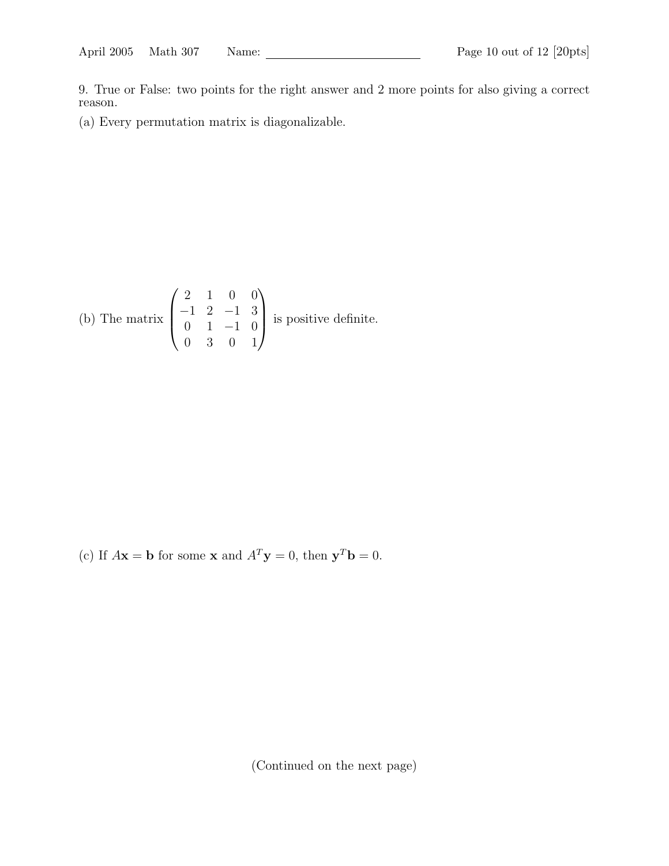9. True or False: two points for the right answer and 2 more points for also giving a correct reason.

(a) Every permutation matrix is diagonalizable.

(b) The matrix 
$$
\begin{pmatrix} 2 & 1 & 0 & 0 \\ -1 & 2 & -1 & 3 \\ 0 & 1 & -1 & 0 \\ 0 & 3 & 0 & 1 \end{pmatrix}
$$
 is positive definite.

(c) If  $A\mathbf{x} = \mathbf{b}$  for some **x** and  $A^T\mathbf{y} = 0$ , then  $\mathbf{y}^T\mathbf{b} = 0$ .

(Continued on the next page)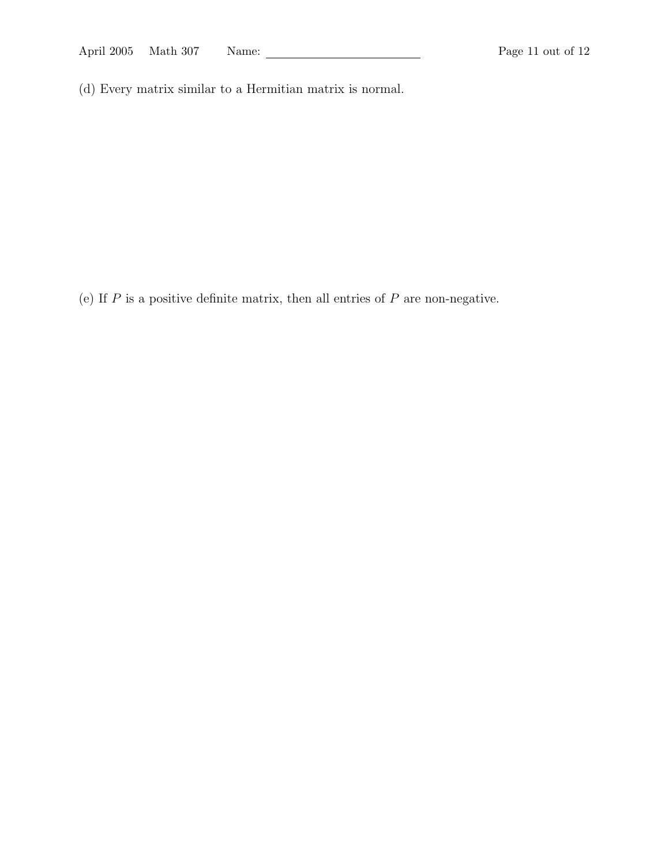(d) Every matrix similar to a Hermitian matrix is normal.

(e) If  $P$  is a positive definite matrix, then all entries of  $P$  are non-negative.